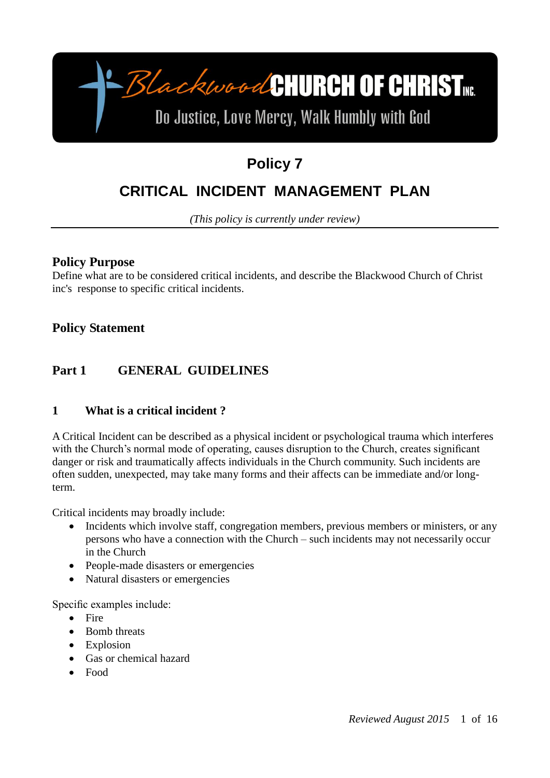

# **Policy 7**

# **CRITICAL INCIDENT MANAGEMENT PLAN**

*(This policy is currently under review)*

#### **Policy Purpose**

Define what are to be considered critical incidents, and describe the Blackwood Church of Christ inc's response to specific critical incidents.

**Policy Statement**

# **Part 1 GENERAL GUIDELINES**

#### **1 What is a critical incident ?**

A Critical Incident can be described as a physical incident or psychological trauma which interferes with the Church's normal mode of operating, causes disruption to the Church, creates significant danger or risk and traumatically affects individuals in the Church community. Such incidents are often sudden, unexpected, may take many forms and their affects can be immediate and/or longterm.

Critical incidents may broadly include:

- Incidents which involve staff, congregation members, previous members or ministers, or any persons who have a connection with the Church – such incidents may not necessarily occur in the Church
- People-made disasters or emergencies
- Natural disasters or emergencies

Specific examples include:

- $\bullet$  Fire
- Bomb threats
- Explosion
- Gas or chemical hazard
- Food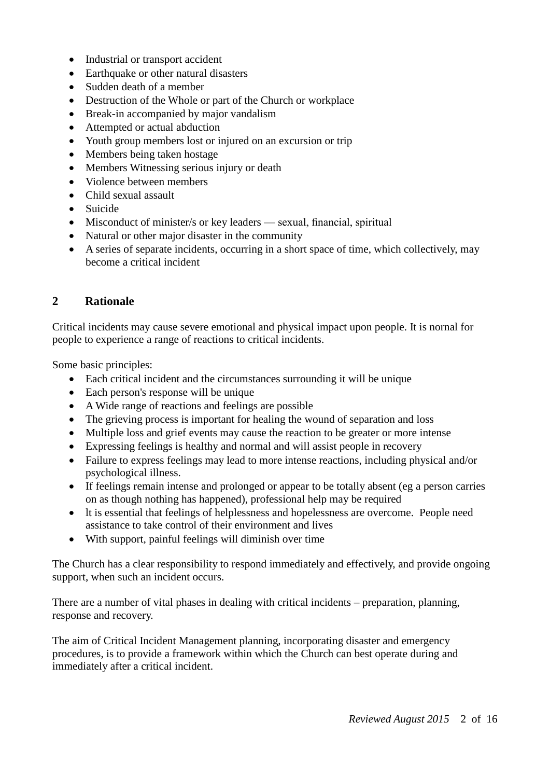- Industrial or transport accident
- Earthquake or other natural disasters
- Sudden death of a member
- Destruction of the Whole or part of the Church or workplace
- Break-in accompanied by major vandalism
- Attempted or actual abduction
- Youth group members lost or injured on an excursion or trip
- Members being taken hostage
- Members Witnessing serious injury or death
- Violence between members
- Child sexual assault
- Suicide
- Misconduct of minister/s or key leaders sexual, financial, spiritual
- Natural or other major disaster in the community
- A series of separate incidents, occurring in a short space of time, which collectively, may become a critical incident

#### **2 Rationale**

Critical incidents may cause severe emotional and physical impact upon people. It is nornal for people to experience a range of reactions to critical incidents.

Some basic principles:

- Each critical incident and the circumstances surrounding it will be unique
- Each person's response will be unique
- A Wide range of reactions and feelings are possible
- The grieving process is important for healing the wound of separation and loss
- Multiple loss and grief events may cause the reaction to be greater or more intense
- Expressing feelings is healthy and normal and will assist people in recovery
- Failure to express feelings may lead to more intense reactions, including physical and/or psychological illness.
- If feelings remain intense and prolonged or appear to be totally absent (eg a person carries on as though nothing has happened), professional help may be required
- lt is essential that feelings of helplessness and hopelessness are overcome. People need assistance to take control of their environment and lives
- With support, painful feelings will diminish over time

The Church has a clear responsibility to respond immediately and effectively, and provide ongoing support, when such an incident occurs.

There are a number of vital phases in dealing with critical incidents – preparation, planning, response and recovery.

The aim of Critical Incident Management planning, incorporating disaster and emergency procedures, is to provide a framework within which the Church can best operate during and immediately after a critical incident.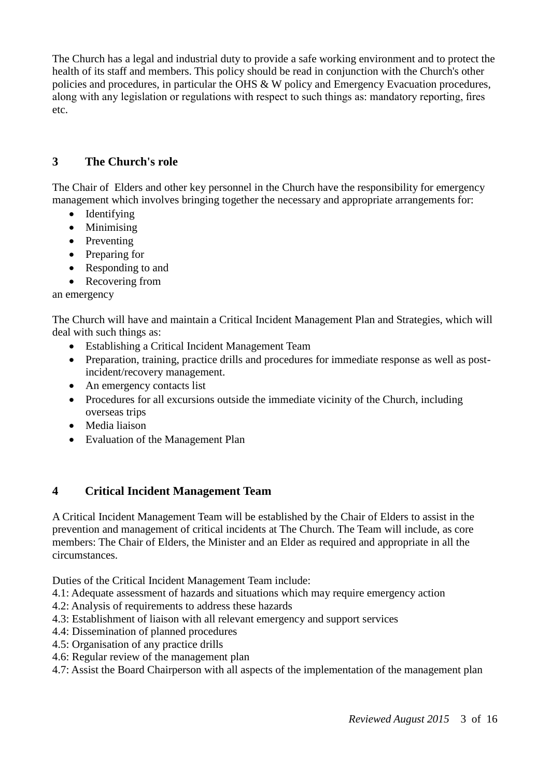The Church has a legal and industrial duty to provide a safe working environment and to protect the health of its staff and members. This policy should be read in conjunction with the Church's other policies and procedures, in particular the OHS & W policy and Emergency Evacuation procedures, along with any legislation or regulations with respect to such things as: mandatory reporting, fires etc.

## **3 The Church's role**

The Chair of Elders and other key personnel in the Church have the responsibility for emergency management which involves bringing together the necessary and appropriate arrangements for:

- Identifying
- Minimising
- Preventing
- Preparing for
- Responding to and
- Recovering from

an emergency

The Church will have and maintain a Critical Incident Management Plan and Strategies, which will deal with such things as:

- Establishing a Critical Incident Management Team
- Preparation, training, practice drills and procedures for immediate response as well as postincident/recovery management.
- An emergency contacts list
- Procedures for all excursions outside the immediate vicinity of the Church, including overseas trips
- Media liaison
- Evaluation of the Management Plan

#### **4 Critical Incident Management Team**

A Critical Incident Management Team will be established by the Chair of Elders to assist in the prevention and management of critical incidents at The Church. The Team will include, as core members: The Chair of Elders, the Minister and an Elder as required and appropriate in all the circumstances.

Duties of the Critical Incident Management Team include:

- 4.1: Adequate assessment of hazards and situations which may require emergency action
- 4.2: Analysis of requirements to address these hazards
- 4.3: Establishment of liaison with all relevant emergency and support services
- 4.4: Dissemination of planned procedures
- 4.5: Organisation of any practice drills
- 4.6: Regular review of the management plan
- 4.7: Assist the Board Chairperson with all aspects of the implementation of the management plan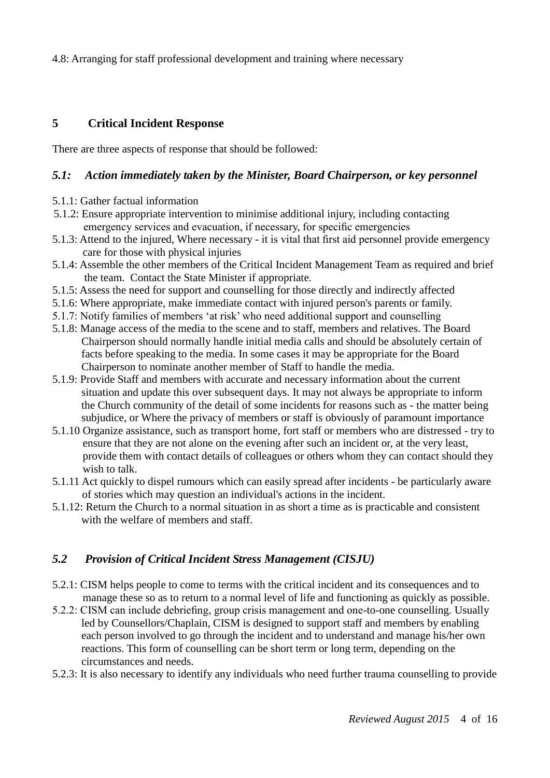4.8: Arranging for staff professional development and training where necessary

#### **5 Critical Incident Response**

There are three aspects of response that should be followed:

#### *5.1: Action immediately taken by the Minister, Board Chairperson, or key personnel*

- 5.1.1: Gather factual information
- 5.1.2: Ensure appropriate intervention to minimise additional injury, including contacting emergency services and evacuation, if necessary, for specific emergencies
- 5.1.3: Attend to the injured, Where necessary it is vital that first aid personnel provide emergency care for those with physical injuries
- 5.1.4: Assemble the other members of the Critical Incident Management Team as required and brief the team. Contact the State Minister if appropriate.
- 5.1.5: Assess the need for support and counselling for those directly and indirectly affected
- 5.1.6: Where appropriate, make immediate contact with injured person's parents or family.
- 5.1.7: Notify families of members 'at risk' who need additional support and counselling
- 5.1.8: Manage access of the media to the scene and to staff, members and relatives. The Board Chairperson should normally handle initial media calls and should be absolutely certain of facts before speaking to the media. In some cases it may be appropriate for the Board Chairperson to nominate another member of Staff to handle the media.
- 5.1.9: Provide Staff and members with accurate and necessary information about the current situation and update this over subsequent days. It may not always be appropriate to inform the Church community of the detail of some incidents for reasons such as - the matter being subjudice, or Where the privacy of members or staff is obviously of paramount importance
- 5.1.10 Organize assistance, such as transport home, fort staff or members who are distressed try to ensure that they are not alone on the evening after such an incident or, at the very least, provide them with contact details of colleagues or others whom they can contact should they wish to talk.
- 5.1.11 Act quickly to dispel rumours which can easily spread after incidents be particularly aware of stories which may question an individual's actions in the incident.
- 5.1.12: Return the Church to a normal situation in as short a time as is practicable and consistent with the welfare of members and staff.

#### *5.2 Provision of Critical Incident Stress Management (CISJU)*

- 5.2.1: CISM helps people to come to terms with the critical incident and its consequences and to manage these so as to return to a normal level of life and functioning as quickly as possible.
- 5.2.2: CISM can include debriefing, group crisis management and one-to-one counselling. Usually led by Counsellors/Chaplain, CISM is designed to support staff and members by enabling each person involved to go through the incident and to understand and manage his/her own reactions. This form of counselling can be short term or long term, depending on the circumstances and needs.
- 5.2.3: It is also necessary to identify any individuals who need further trauma counselling to provide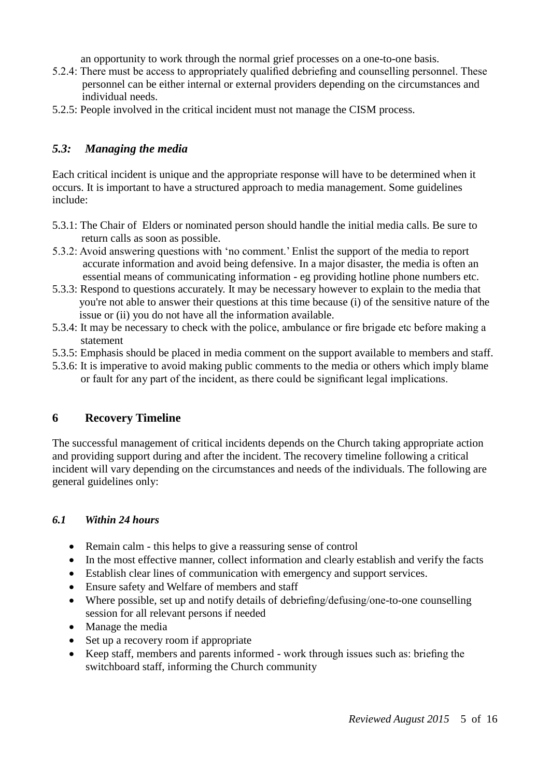an opportunity to work through the normal grief processes on a one-to-one basis.

- 5.2.4: There must be access to appropriately qualified debriefing and counselling personnel. These personnel can be either internal or external providers depending on the circumstances and individual needs.
- 5.2.5: People involved in the critical incident must not manage the CISM process.

#### *5.3: Managing the media*

Each critical incident is unique and the appropriate response will have to be determined when it occurs. It is important to have a structured approach to media management. Some guidelines include:

- 5.3.1: The Chair of Elders or nominated person should handle the initial media calls. Be sure to return calls as soon as possible.
- 5.3.2: Avoid answering questions with 'no comment.' Enlist the support of the media to report accurate information and avoid being defensive. In a major disaster, the media is often an essential means of communicating information - eg providing hotline phone numbers etc.
- 5.3.3: Respond to questions accurately. It may be necessary however to explain to the media that you're not able to answer their questions at this time because (i) of the sensitive nature of the issue or (ii) you do not have all the information available.
- 5.3.4: It may be necessary to check with the police, ambulance or fire brigade etc before making a statement
- 5.3.5: Emphasis should be placed in media comment on the support available to members and staff.
- 5.3.6: It is imperative to avoid making public comments to the media or others which imply blame or fault for any part of the incident, as there could be significant legal implications.

#### **6 Recovery Timeline**

The successful management of critical incidents depends on the Church taking appropriate action and providing support during and after the incident. The recovery timeline following a critical incident will vary depending on the circumstances and needs of the individuals. The following are general guidelines only:

#### *6.1 Within 24 hours*

- Remain calm this helps to give a reassuring sense of control
- In the most effective manner, collect information and clearly establish and verify the facts
- Establish clear lines of communication with emergency and support services.
- Ensure safety and Welfare of members and staff
- Where possible, set up and notify details of debriefing/defusing/one-to-one counselling session for all relevant persons if needed
- Manage the media
- Set up a recovery room if appropriate
- Keep staff, members and parents informed work through issues such as: briefing the switchboard staff, informing the Church community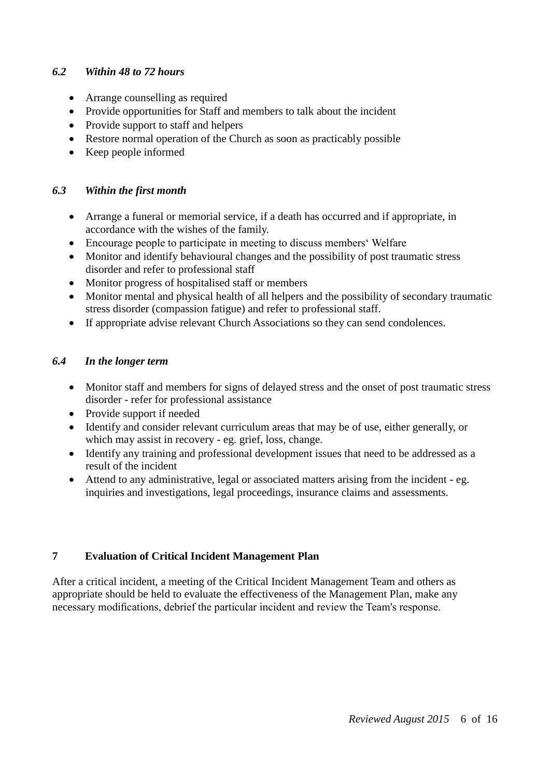#### *6.2 Within 48 to 72 hours*

- Arrange counselling as required
- Provide opportunities for Staff and members to talk about the incident
- Provide support to staff and helpers
- Restore normal operation of the Church as soon as practicably possible
- Keep people informed

#### *6.3 Within the first month*

- Arrange a funeral or memorial service, if a death has occurred and if appropriate, in accordance with the wishes of the family.
- Encourage people to participate in meeting to discuss members' Welfare
- Monitor and identify behavioural changes and the possibility of post traumatic stress disorder and refer to professional staff
- Monitor progress of hospitalised staff or members
- Monitor mental and physical health of all helpers and the possibility of secondary traumatic stress disorder (compassion fatigue) and refer to professional staff.
- If appropriate advise relevant Church Associations so they can send condolences.

#### *6.4 In the longer term*

- Monitor staff and members for signs of delayed stress and the onset of post traumatic stress disorder - refer for professional assistance
- Provide support if needed
- Identify and consider relevant curriculum areas that may be of use, either generally, or which may assist in recovery - eg. grief, loss, change.
- Identify any training and professional development issues that need to be addressed as a result of the incident
- Attend to any administrative, legal or associated matters arising from the incident eg. inquiries and investigations, legal proceedings, insurance claims and assessments.

#### **7 Evaluation of Critical Incident Management Plan**

After a critical incident, a meeting of the Critical Incident Management Team and others as appropriate should be held to evaluate the effectiveness of the Management Plan, make any necessary modifications, debrief the particular incident and review the Team's response.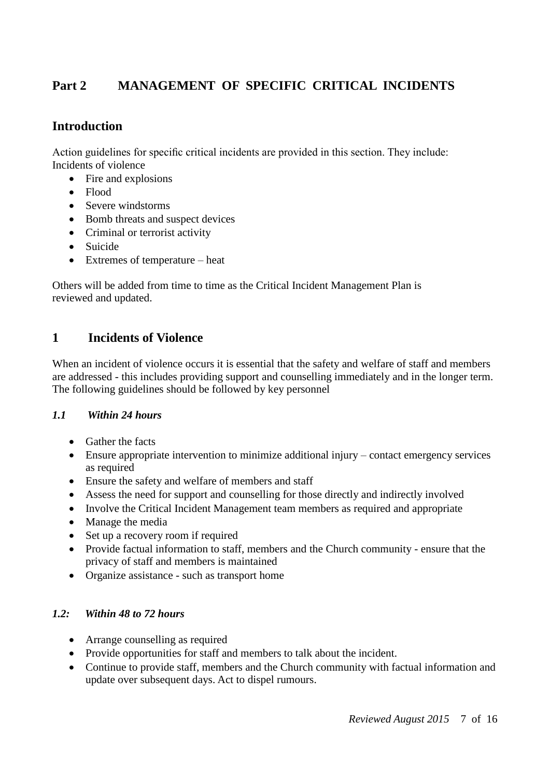# **Part 2 MANAGEMENT OF SPECIFIC CRITICAL INCIDENTS**

# **Introduction**

Action guidelines for specific critical incidents are provided in this section. They include: Incidents of violence

- Fire and explosions
- Flood
- Severe windstorms
- Bomb threats and suspect devices
- Criminal or terrorist activity
- Suicide
- Extremes of temperature heat

Others will be added from time to time as the Critical Incident Management Plan is reviewed and updated.

## **1 Incidents of Violence**

When an incident of violence occurs it is essential that the safety and welfare of staff and members are addressed - this includes providing support and counselling immediately and in the longer term. The following guidelines should be followed by key personnel

#### *1.1 Within 24 hours*

- Gather the facts
- Ensure appropriate intervention to minimize additional injury contact emergency services as required
- Ensure the safety and welfare of members and staff
- Assess the need for support and counselling for those directly and indirectly involved
- Involve the Critical Incident Management team members as required and appropriate
- Manage the media
- Set up a recovery room if required
- Provide factual information to staff, members and the Church community ensure that the privacy of staff and members is maintained
- Organize assistance such as transport home

#### *1.2: Within 48 to 72 hours*

- Arrange counselling as required
- Provide opportunities for staff and members to talk about the incident.
- Continue to provide staff, members and the Church community with factual information and update over subsequent days. Act to dispel rumours.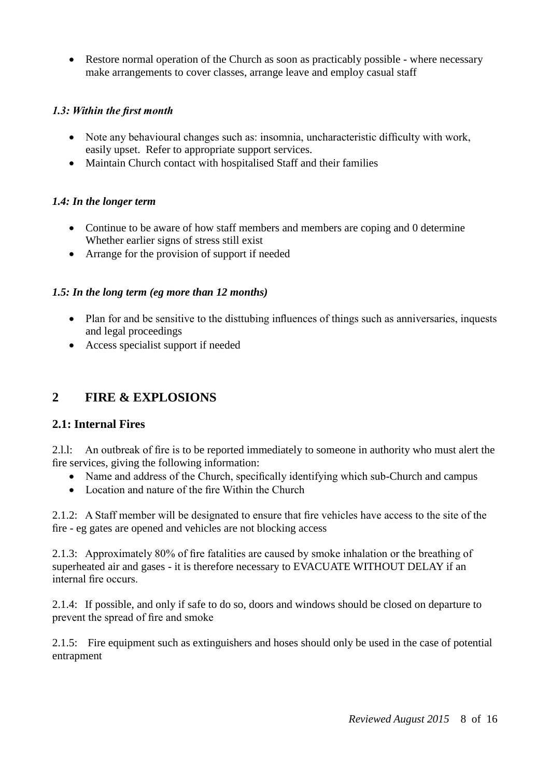• Restore normal operation of the Church as soon as practicably possible - where necessary make arrangements to cover classes, arrange leave and employ casual staff

#### *1.3: Within the first month*

- Note any behavioural changes such as: insomnia, uncharacteristic difficulty with work, easily upset. Refer to appropriate support services.
- Maintain Church contact with hospitalised Staff and their families

#### *1.4: In the longer term*

- Continue to be aware of how staff members and members are coping and 0 determine Whether earlier signs of stress still exist
- Arrange for the provision of support if needed

#### *1.5: In the long term (eg more than 12 months)*

- Plan for and be sensitive to the disttubing influences of things such as anniversaries, inquests and legal proceedings
- Access specialist support if needed

## **2 FIRE & EXPLOSIONS**

#### **2.1: Internal Fires**

2.l.l: An outbreak of fire is to be reported immediately to someone in authority who must alert the fire services, giving the following information:

- Name and address of the Church, specifically identifying which sub-Church and campus
- Location and nature of the fire Within the Church

2.1.2: A Staff member will be designated to ensure that fire vehicles have access to the site of the fire - eg gates are opened and vehicles are not blocking access

2.1.3: Approximately 80% of fire fatalities are caused by smoke inhalation or the breathing of superheated air and gases - it is therefore necessary to EVACUATE WITHOUT DELAY if an internal fire occurs.

2.1.4: If possible, and only if safe to do so, doors and windows should be closed on departure to prevent the spread of fire and smoke

2.1.5: Fire equipment such as extinguishers and hoses should only be used in the case of potential entrapment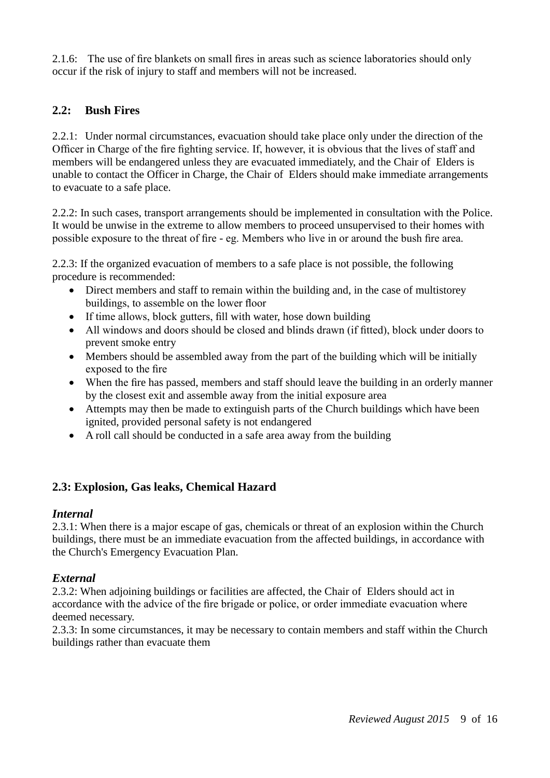2.1.6: The use of fire blankets on small fires in areas such as science laboratories should only occur if the risk of injury to staff and members will not be increased.

#### **2.2: Bush Fires**

2.2.1: Under normal circumstances, evacuation should take place only under the direction of the Officer in Charge of the fire fighting service. If, however, it is obvious that the lives of staff and members will be endangered unless they are evacuated immediately, and the Chair of Elders is unable to contact the Officer in Charge, the Chair of Elders should make immediate arrangements to evacuate to a safe place.

2.2.2: In such cases, transport arrangements should be implemented in consultation with the Police. It would be unwise in the extreme to allow members to proceed unsupervised to their homes with possible exposure to the threat of fire - eg. Members who live in or around the bush fire area.

2.2.3: If the organized evacuation of members to a safe place is not possible, the following procedure is recommended:

- Direct members and staff to remain within the building and, in the case of multistorey buildings, to assemble on the lower floor
- If time allows, block gutters, fill with water, hose down building
- All windows and doors should be closed and blinds drawn (if fitted), block under doors to prevent smoke entry
- Members should be assembled away from the part of the building which will be initially exposed to the fire
- When the fire has passed, members and staff should leave the building in an orderly manner by the closest exit and assemble away from the initial exposure area
- Attempts may then be made to extinguish parts of the Church buildings which have been ignited, provided personal safety is not endangered
- A roll call should be conducted in a safe area away from the building

#### **2.3: Explosion, Gas leaks, Chemical Hazard**

#### *Internal*

2.3.1: When there is a major escape of gas, chemicals or threat of an explosion within the Church buildings, there must be an immediate evacuation from the affected buildings, in accordance with the Church's Emergency Evacuation Plan.

#### *External*

2.3.2: When adjoining buildings or facilities are affected, the Chair of Elders should act in accordance with the advice of the fire brigade or police, or order immediate evacuation where deemed necessary.

2.3.3: In some circumstances, it may be necessary to contain members and staff within the Church buildings rather than evacuate them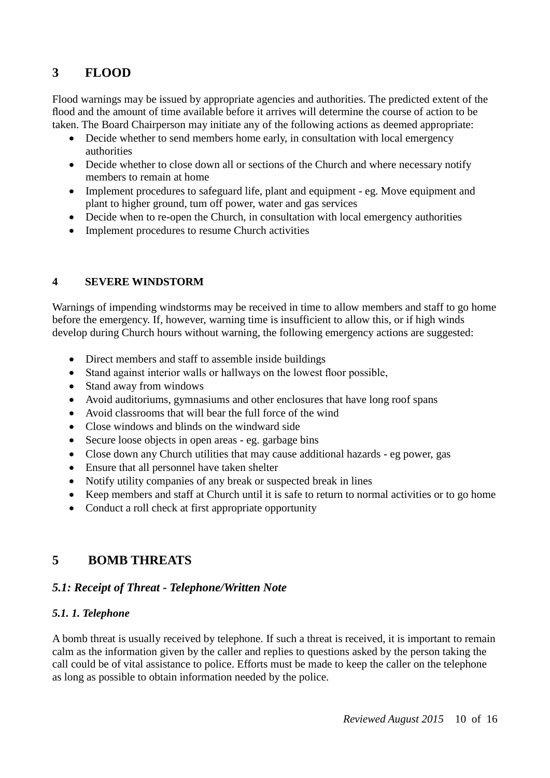# **3 FLOOD**

Flood warnings may be issued by appropriate agencies and authorities. The predicted extent of the flood and the amount of time available before it arrives will determine the course of action to be taken. The Board Chairperson may initiate any of the following actions as deemed appropriate:

- Decide whether to send members home early, in consultation with local emergency authorities
- Decide whether to close down all or sections of the Church and where necessary notify members to remain at home
- Implement procedures to safeguard life, plant and equipment eg. Move equipment and plant to higher ground, tum off power, water and gas services
- Decide when to re-open the Church, in consultation with local emergency authorities
- Implement procedures to resume Church activities

#### **4 SEVERE WINDSTORM**

Warnings of impending windstorms may be received in time to allow members and staff to go home before the emergency. If, however, warning time is insufficient to allow this, or if high winds develop during Church hours without warning, the following emergency actions are suggested:

- Direct members and staff to assemble inside buildings
- Stand against interior walls or hallways on the lowest floor possible,
- Stand away from windows
- Avoid auditoriums, gymnasiums and other enclosures that have long roof spans
- Avoid classrooms that will bear the full force of the wind
- Close windows and blinds on the windward side
- Secure loose objects in open areas eg. garbage bins
- Close down any Church utilities that may cause additional hazards eg power, gas
- Ensure that all personnel have taken shelter
- Notify utility companies of any break or suspected break in lines
- Keep members and staff at Church until it is safe to return to normal activities or to go home
- Conduct a roll check at first appropriate opportunity

# **5 BOMB THREATS**

#### *5.1: Receipt of Threat - Telephone/Written Note*

#### *5.1. 1. Telephone*

A bomb threat is usually received by telephone. If such a threat is received, it is important to remain calm as the information given by the caller and replies to questions asked by the person taking the call could be of vital assistance to police. Efforts must be made to keep the caller on the telephone as long as possible to obtain information needed by the police.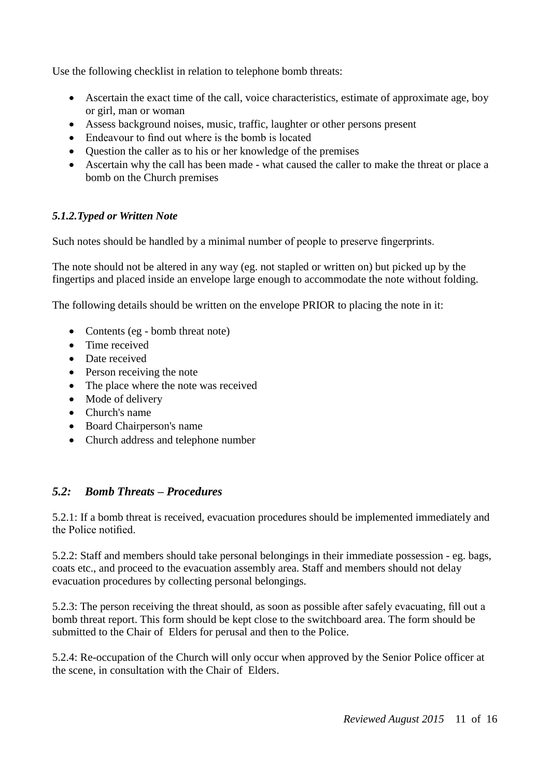Use the following checklist in relation to telephone bomb threats:

- Ascertain the exact time of the call, voice characteristics, estimate of approximate age, boy or girl, man or woman
- Assess background noises, music, traffic, laughter or other persons present
- Endeavour to find out where is the bomb is located
- Question the caller as to his or her knowledge of the premises
- Ascertain why the call has been made what caused the caller to make the threat or place a bomb on the Church premises

#### *5.1.2.Typed or Written Note*

Such notes should be handled by a minimal number of people to preserve fingerprints.

The note should not be altered in any way (eg. not stapled or written on) but picked up by the fingertips and placed inside an envelope large enough to accommodate the note without folding.

The following details should be written on the envelope PRIOR to placing the note in it:

- Contents (eg bomb threat note)
- Time received
- Date received
- Person receiving the note
- The place where the note was received
- Mode of delivery
- Church's name
- Board Chairperson's name
- Church address and telephone number

#### *5.2: Bomb Threats – Procedures*

5.2.1: If a bomb threat is received, evacuation procedures should be implemented immediately and the Police notified.

5.2.2: Staff and members should take personal belongings in their immediate possession - eg. bags, coats etc., and proceed to the evacuation assembly area. Staff and members should not delay evacuation procedures by collecting personal belongings.

5.2.3: The person receiving the threat should, as soon as possible after safely evacuating, fill out a bomb threat report. This form should be kept close to the switchboard area. The form should be submitted to the Chair of Elders for perusal and then to the Police.

5.2.4: Re-occupation of the Church will only occur when approved by the Senior Police officer at the scene, in consultation with the Chair of Elders.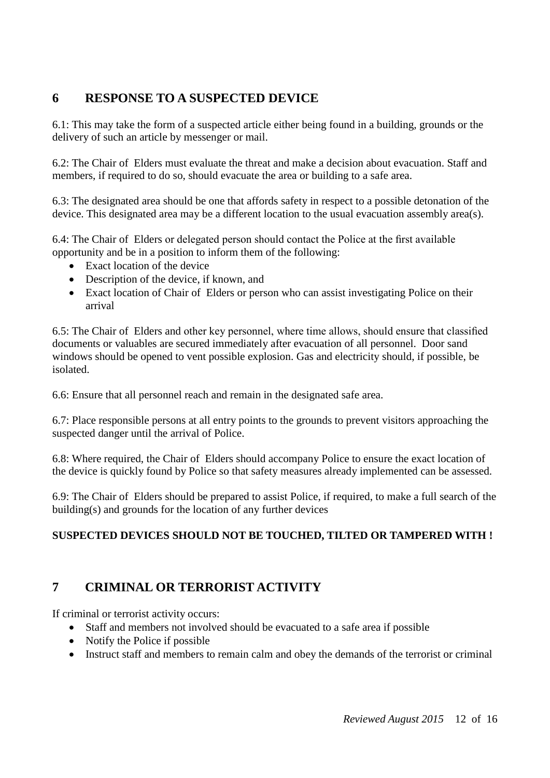# **6 RESPONSE TO A SUSPECTED DEVICE**

6.1: This may take the form of a suspected article either being found in a building, grounds or the delivery of such an article by messenger or mail.

6.2: The Chair of Elders must evaluate the threat and make a decision about evacuation. Staff and members, if required to do so, should evacuate the area or building to a safe area.

6.3: The designated area should be one that affords safety in respect to a possible detonation of the device. This designated area may be a different location to the usual evacuation assembly area(s).

6.4: The Chair of Elders or delegated person should contact the Police at the first available opportunity and be in a position to inform them of the following:

- Exact location of the device
- Description of the device, if known, and
- Exact location of Chair of Elders or person who can assist investigating Police on their arrival

6.5: The Chair of Elders and other key personnel, where time allows, should ensure that classified documents or valuables are secured immediately after evacuation of all personnel. Door sand windows should be opened to vent possible explosion. Gas and electricity should, if possible, be isolated.

6.6: Ensure that all personnel reach and remain in the designated safe area.

6.7: Place responsible persons at all entry points to the grounds to prevent visitors approaching the suspected danger until the arrival of Police.

6.8: Where required, the Chair of Elders should accompany Police to ensure the exact location of the device is quickly found by Police so that safety measures already implemented can be assessed.

6.9: The Chair of Elders should be prepared to assist Police, if required, to make a full search of the building(s) and grounds for the location of any further devices

## **SUSPECTED DEVICES SHOULD NOT BE TOUCHED, TILTED OR TAMPERED WITH !**

# **7 CRIMINAL OR TERRORIST ACTIVITY**

If criminal or terrorist activity occurs:

- Staff and members not involved should be evacuated to a safe area if possible
- Notify the Police if possible
- Instruct staff and members to remain calm and obey the demands of the terrorist or criminal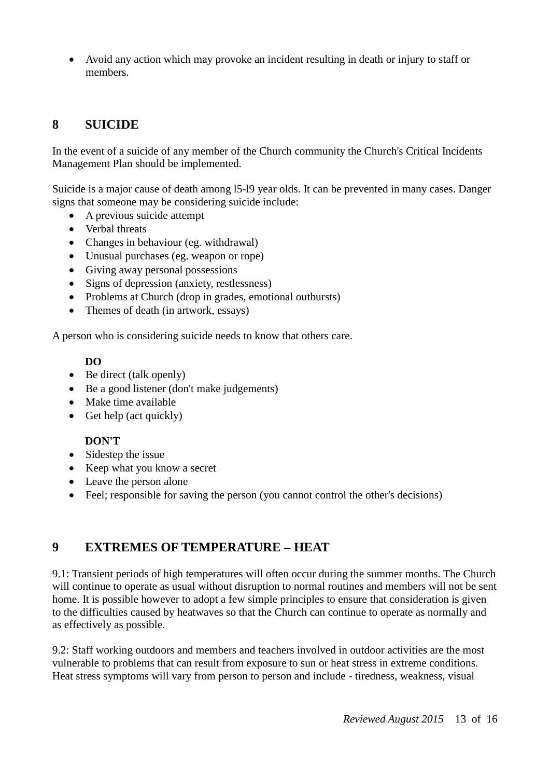Avoid any action which may provoke an incident resulting in death or injury to staff or members.

# **8 SUICIDE**

In the event of a suicide of any member of the Church community the Church's Critical Incidents Management Plan should be implemented.

Suicide is a major cause of death among l5-l9 year olds. It can be prevented in many cases. Danger signs that someone may be considering suicide include:

- A previous suicide attempt
- Verbal threats
- Changes in behaviour (eg. withdrawal)
- Unusual purchases (eg. weapon or rope)
- Giving away personal possessions
- Signs of depression (anxiety, restlessness)
- Problems at Church (drop in grades, emotional outbursts)
- Themes of death (in artwork, essays)

A person who is considering suicide needs to know that others care.

#### **DO**

- Be direct (talk openly)
- Be a good listener (don't make judgements)
- Make time available
- Get help (act quickly)

#### **DON'T**

- Sidestep the issue
- Keep what you know a secret
- Leave the person alone
- Feel; responsible for saving the person (you cannot control the other's decisions)

## **9 EXTREMES OF TEMPERATURE – HEAT**

9.1: Transient periods of high temperatures will often occur during the summer months. The Church will continue to operate as usual without disruption to normal routines and members will not be sent home. It is possible however to adopt a few simple principles to ensure that consideration is given to the difficulties caused by heatwaves so that the Church can continue to operate as normally and as effectively as possible.

9.2: Staff working outdoors and members and teachers involved in outdoor activities are the most vulnerable to problems that can result from exposure to sun or heat stress in extreme conditions. Heat stress symptoms will vary from person to person and include - tiredness, weakness, visual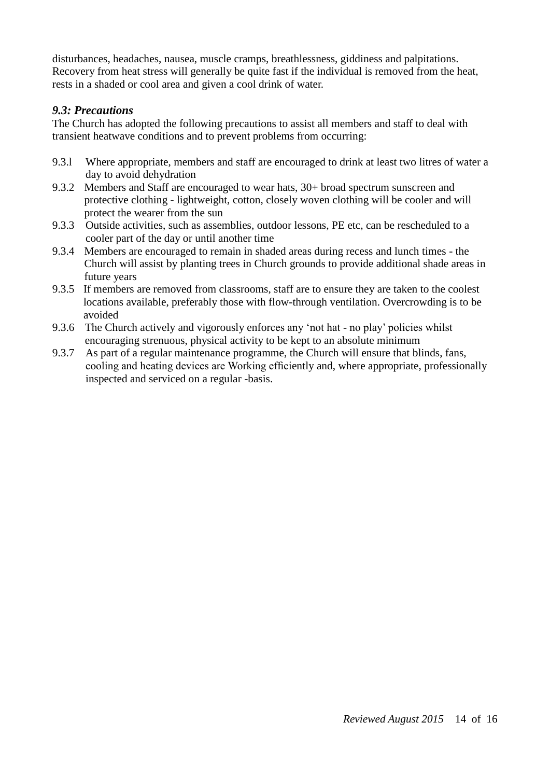disturbances, headaches, nausea, muscle cramps, breathlessness, giddiness and palpitations. Recovery from heat stress will generally be quite fast if the individual is removed from the heat, rests in a shaded or cool area and given a cool drink of water.

#### *9.3: Precautions*

The Church has adopted the following precautions to assist all members and staff to deal with transient heatwave conditions and to prevent problems from occurring:

- 9.3.l Where appropriate, members and staff are encouraged to drink at least two litres of water a day to avoid dehydration
- 9.3.2 Members and Staff are encouraged to wear hats, 30+ broad spectrum sunscreen and protective clothing - lightweight, cotton, closely woven clothing will be cooler and will protect the wearer from the sun
- 9.3.3 Outside activities, such as assemblies, outdoor lessons, PE etc, can be rescheduled to a cooler part of the day or until another time
- 9.3.4 Members are encouraged to remain in shaded areas during recess and lunch times the Church will assist by planting trees in Church grounds to provide additional shade areas in future years
- 9.3.5 If members are removed from classrooms, staff are to ensure they are taken to the coolest locations available, preferably those with flow-through ventilation. Overcrowding is to be avoided
- 9.3.6 The Church actively and vigorously enforces any 'not hat no play' policies whilst encouraging strenuous, physical activity to be kept to an absolute minimum
- 9.3.7 As part of a regular maintenance programme, the Church will ensure that blinds, fans, cooling and heating devices are Working efficiently and, where appropriate, professionally inspected and serviced on a regular -basis.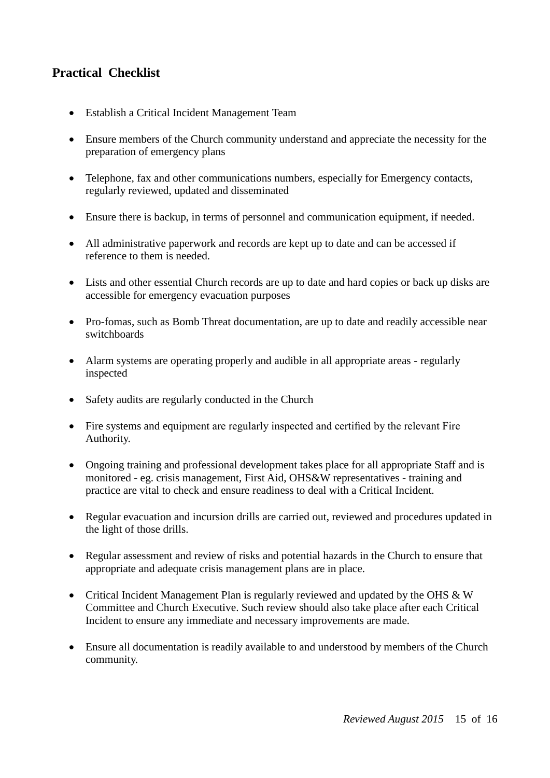# **Practical Checklist**

- Establish a Critical Incident Management Team
- Ensure members of the Church community understand and appreciate the necessity for the preparation of emergency plans
- Telephone, fax and other communications numbers, especially for Emergency contacts, regularly reviewed, updated and disseminated
- Ensure there is backup, in terms of personnel and communication equipment, if needed.
- All administrative paperwork and records are kept up to date and can be accessed if reference to them is needed.
- Lists and other essential Church records are up to date and hard copies or back up disks are accessible for emergency evacuation purposes
- Pro-fomas, such as Bomb Threat documentation, are up to date and readily accessible near switchboards
- Alarm systems are operating properly and audible in all appropriate areas regularly inspected
- Safety audits are regularly conducted in the Church
- Fire systems and equipment are regularly inspected and certified by the relevant Fire Authority.
- Ongoing training and professional development takes place for all appropriate Staff and is monitored - eg. crisis management, First Aid, OHS&W representatives - training and practice are vital to check and ensure readiness to deal with a Critical Incident.
- Regular evacuation and incursion drills are carried out, reviewed and procedures updated in the light of those drills.
- Regular assessment and review of risks and potential hazards in the Church to ensure that appropriate and adequate crisis management plans are in place.
- Critical Incident Management Plan is regularly reviewed and updated by the OHS & W Committee and Church Executive. Such review should also take place after each Critical Incident to ensure any immediate and necessary improvements are made.
- Ensure all documentation is readily available to and understood by members of the Church community.